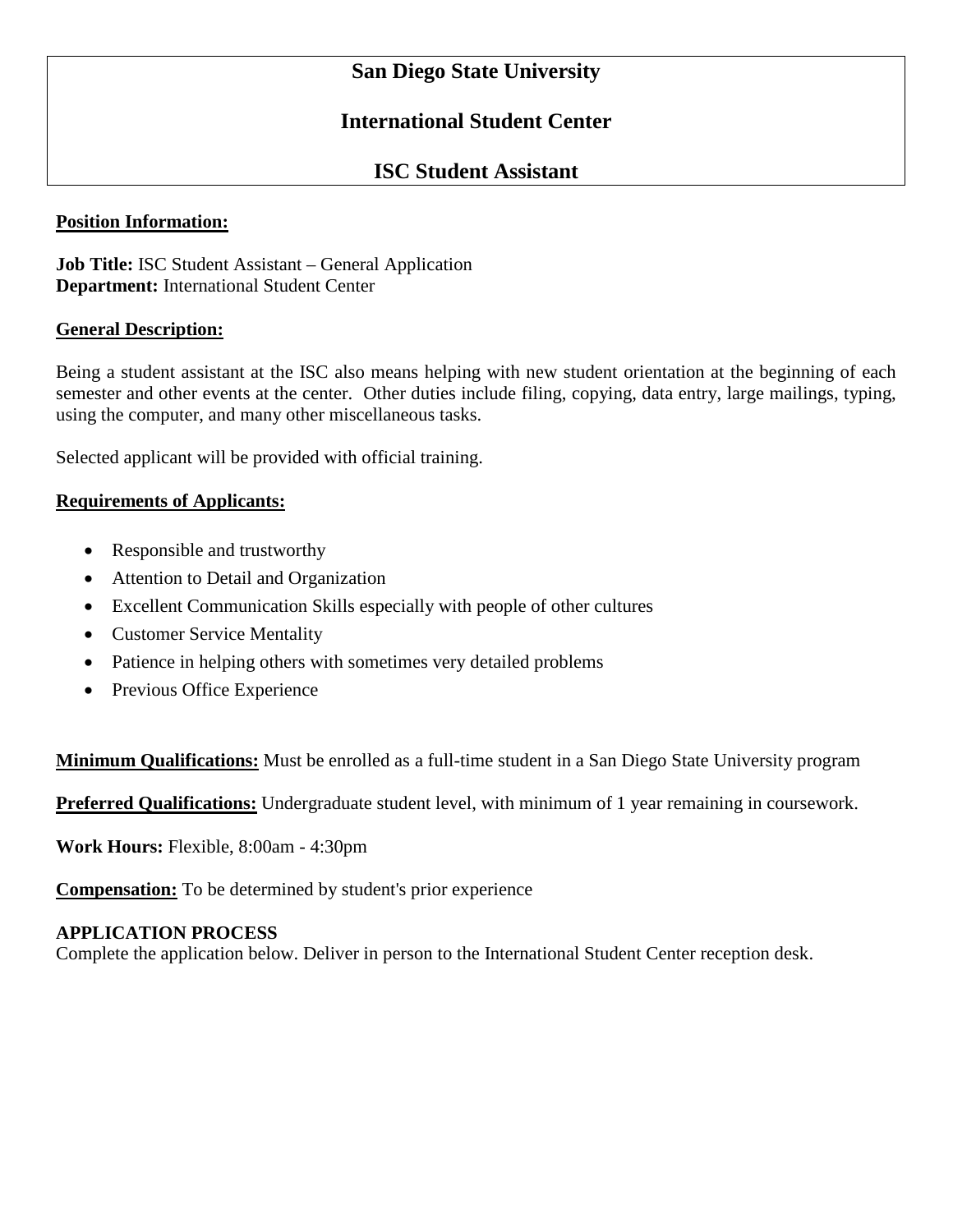# **San Diego State University**

## **International Student Center**

## **ISC Student Assistant**

#### **Position Information:**

**Job Title:** ISC Student Assistant – General Application **Department:** International Student Center

#### **General Description:**

Being a student assistant at the ISC also means helping with new student orientation at the beginning of each semester and other events at the center. Other duties include filing, copying, data entry, large mailings, typing, using the computer, and many other miscellaneous tasks.

Selected applicant will be provided with official training.

#### **Requirements of Applicants:**

- Responsible and trustworthy
- Attention to Detail and Organization
- Excellent Communication Skills especially with people of other cultures
- Customer Service Mentality
- Patience in helping others with sometimes very detailed problems
- Previous Office Experience

**Minimum Qualifications:** Must be enrolled as a full-time student in a San Diego State University program

**Preferred Qualifications:** Undergraduate student level, with minimum of 1 year remaining in coursework.

**Work Hours:** Flexible, 8:00am - 4:30pm

**Compensation:** To be determined by student's prior experience

### **APPLICATION PROCESS**

Complete the application below. Deliver in person to the International Student Center reception desk.